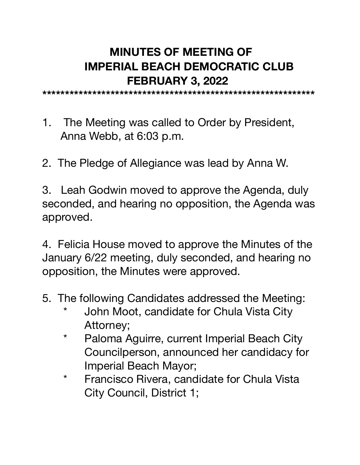## **MINUTES OF MEETING OF IMPERIAL BEACH DEMOCRATIC CLUB FEBRUARY 3, 2022**

**\*\*\*\*\*\*\*\*\*\*\*\*\*\*\*\*\*\*\*\*\*\*\*\*\*\*\*\*\*\*\*\*\*\*\*\*\*\*\*\*\*\*\*\*\*\*\*\*\*\*\*\*\*\*\*\*\*\*\*\*** 

- 1. The Meeting was called to Order by President, Anna Webb, at 6:03 p.m.
- 2. The Pledge of Allegiance was lead by Anna W.

3. Leah Godwin moved to approve the Agenda, duly seconded, and hearing no opposition, the Agenda was approved.

4. Felicia House moved to approve the Minutes of the January 6/22 meeting, duly seconded, and hearing no opposition, the Minutes were approved.

- 5. The following Candidates addressed the Meeting:
	- \* John Moot, candidate for Chula Vista City Attorney;
	- \* Paloma Aguirre, current Imperial Beach City Councilperson, announced her candidacy for Imperial Beach Mayor;
	- \* Francisco Rivera, candidate for Chula Vista City Council, District 1;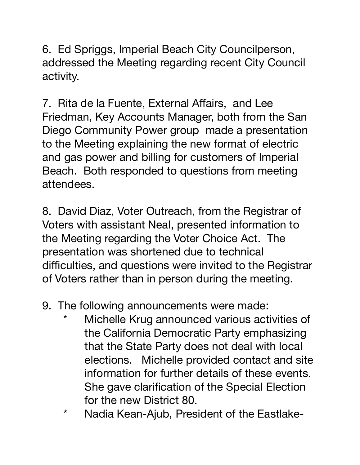6. Ed Spriggs, Imperial Beach City Councilperson, addressed the Meeting regarding recent City Council activity.

7. Rita de la Fuente, External Affairs, and Lee Friedman, Key Accounts Manager, both from the San Diego Community Power group made a presentation to the Meeting explaining the new format of electric and gas power and billing for customers of Imperial Beach. Both responded to questions from meeting attendees.

8. David Diaz, Voter Outreach, from the Registrar of Voters with assistant Neal, presented information to the Meeting regarding the Voter Choice Act. The presentation was shortened due to technical difficulties, and questions were invited to the Registrar of Voters rather than in person during the meeting.

- 9. The following announcements were made:
	- Michelle Krug announced various activities of the California Democratic Party emphasizing that the State Party does not deal with local elections. Michelle provided contact and site information for further details of these events. She gave clarification of the Special Election for the new District 80.
	- \* Nadia Kean-Ajub, President of the Eastlake-